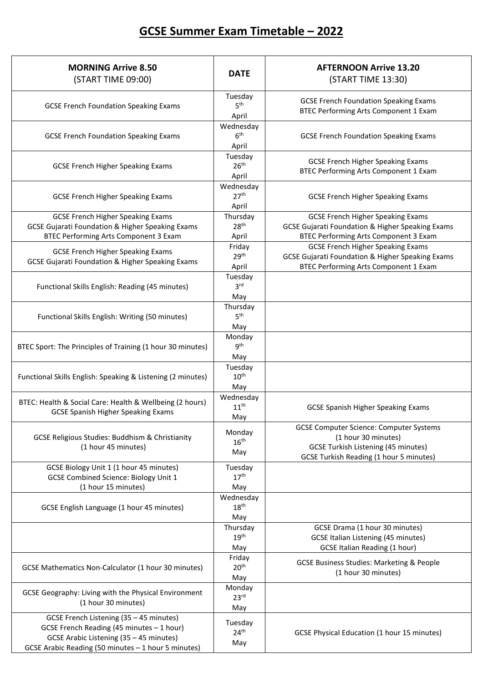## **GCSE Summer Exam Timetable – 2022**

| <b>MORNING Arrive 8.50</b><br>(START TIME 09:00)                                                                                                                                       | <b>DATE</b>                            | <b>AFTERNOON Arrive 13.20</b><br>(START TIME 13:30)                                                                                                                   |
|----------------------------------------------------------------------------------------------------------------------------------------------------------------------------------------|----------------------------------------|-----------------------------------------------------------------------------------------------------------------------------------------------------------------------|
| <b>GCSE French Foundation Speaking Exams</b>                                                                                                                                           | Tuesday<br>5 <sup>th</sup><br>April    | <b>GCSE French Foundation Speaking Exams</b><br><b>BTEC Performing Arts Component 1 Exam</b>                                                                          |
| <b>GCSE French Foundation Speaking Exams</b>                                                                                                                                           | Wednesday<br>6 <sup>th</sup><br>April  | <b>GCSE French Foundation Speaking Exams</b>                                                                                                                          |
| <b>GCSE French Higher Speaking Exams</b>                                                                                                                                               | Tuesday<br>26 <sup>th</sup><br>April   | <b>GCSE French Higher Speaking Exams</b><br><b>BTEC Performing Arts Component 1 Exam</b>                                                                              |
| <b>GCSE French Higher Speaking Exams</b>                                                                                                                                               | Wednesday<br>27 <sup>th</sup><br>April | <b>GCSE French Higher Speaking Exams</b>                                                                                                                              |
| <b>GCSE French Higher Speaking Exams</b><br><b>GCSE Gujarati Foundation &amp; Higher Speaking Exams</b><br>BTEC Performing Arts Component 3 Exam                                       | Thursday<br>28 <sup>th</sup><br>April  | <b>GCSE French Higher Speaking Exams</b><br><b>GCSE Gujarati Foundation &amp; Higher Speaking Exams</b><br>BTEC Performing Arts Component 3 Exam                      |
| <b>GCSE French Higher Speaking Exams</b><br><b>GCSE Gujarati Foundation &amp; Higher Speaking Exams</b>                                                                                | Friday<br>29 <sup>th</sup><br>April    | <b>GCSE French Higher Speaking Exams</b><br><b>GCSE Gujarati Foundation &amp; Higher Speaking Exams</b><br>BTEC Performing Arts Component 1 Exam                      |
| Functional Skills English: Reading (45 minutes)                                                                                                                                        | Tuesday<br>3 <sup>rd</sup><br>May      |                                                                                                                                                                       |
| Functional Skills English: Writing (50 minutes)                                                                                                                                        | Thursday<br>5 <sup>th</sup><br>May     |                                                                                                                                                                       |
| BTEC Sport: The Principles of Training (1 hour 30 minutes)                                                                                                                             | Monday<br>9 <sup>th</sup><br>May       |                                                                                                                                                                       |
| Functional Skills English: Speaking & Listening (2 minutes)                                                                                                                            | Tuesday<br>10 <sup>th</sup><br>May     |                                                                                                                                                                       |
| BTEC: Health & Social Care: Health & Wellbeing (2 hours)<br><b>GCSE Spanish Higher Speaking Exams</b>                                                                                  | Wednesday<br>11 <sup>th</sup><br>May   | <b>GCSE Spanish Higher Speaking Exams</b>                                                                                                                             |
| <b>GCSE Religious Studies: Buddhism &amp; Christianity</b><br>(1 hour 45 minutes)                                                                                                      | Monday<br>16 <sup>th</sup><br>May      | <b>GCSE Computer Science: Computer Systems</b><br>(1 hour 30 minutes)<br><b>GCSE Turkish Listening (45 minutes)</b><br><b>GCSE Turkish Reading (1 hour 5 minutes)</b> |
| GCSE Biology Unit 1 (1 hour 45 minutes)<br><b>GCSE Combined Science: Biology Unit 1</b><br>(1 hour 15 minutes)                                                                         | Tuesday<br>17 <sup>th</sup><br>May     |                                                                                                                                                                       |
| GCSE English Language (1 hour 45 minutes)                                                                                                                                              | Wednesday<br>18 <sup>th</sup><br>May   |                                                                                                                                                                       |
|                                                                                                                                                                                        | Thursday<br>19 <sup>th</sup><br>May    | GCSE Drama (1 hour 30 minutes)<br><b>GCSE Italian Listening (45 minutes)</b><br><b>GCSE Italian Reading (1 hour)</b>                                                  |
| <b>GCSE Mathematics Non-Calculator (1 hour 30 minutes)</b>                                                                                                                             | Friday<br>20 <sup>th</sup><br>May      | <b>GCSE Business Studies: Marketing &amp; People</b><br>(1 hour 30 minutes)                                                                                           |
| GCSE Geography: Living with the Physical Environment<br>(1 hour 30 minutes)                                                                                                            | Monday<br>23 <sup>rd</sup><br>May      |                                                                                                                                                                       |
| GCSE French Listening (35 - 45 minutes)<br>GCSE French Reading (45 minutes - 1 hour)<br>GCSE Arabic Listening (35 - 45 minutes)<br>GCSE Arabic Reading (50 minutes - 1 hour 5 minutes) | Tuesday<br>24 <sup>th</sup><br>May     | GCSE Physical Education (1 hour 15 minutes)                                                                                                                           |